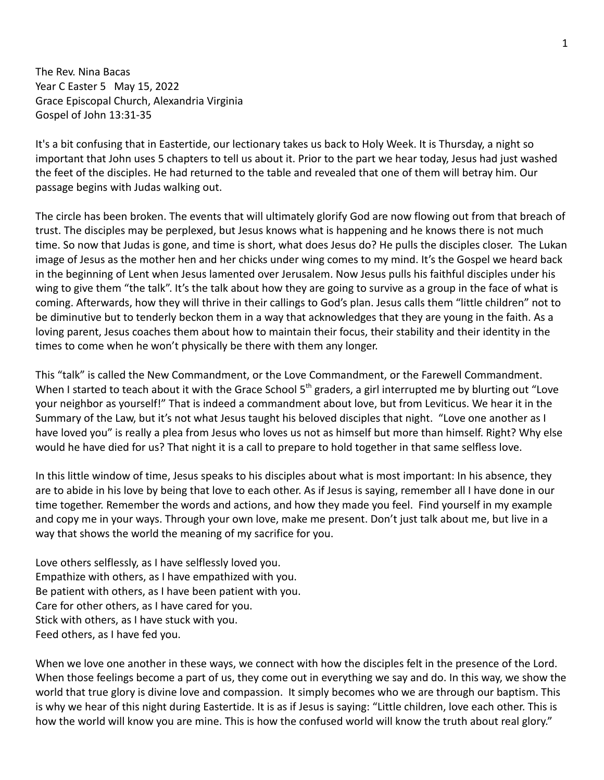The Rev. Nina Bacas Year C Easter 5 May 15, 2022 Grace Episcopal Church, Alexandria Virginia Gospel of John 13:31-35

It's a bit confusing that in Eastertide, our lectionary takes us back to Holy Week. It is Thursday, a night so important that John uses 5 chapters to tell us about it. Prior to the part we hear today, Jesus had just washed the feet of the disciples. He had returned to the table and revealed that one of them will betray him. Our passage begins with Judas walking out.

The circle has been broken. The events that will ultimately glorify God are now flowing out from that breach of trust. The disciples may be perplexed, but Jesus knows what is happening and he knows there is not much time. So now that Judas is gone, and time is short, what does Jesus do? He pulls the disciples closer. The Lukan image of Jesus as the mother hen and her chicks under wing comes to my mind. It's the Gospel we heard back in the beginning of Lent when Jesus lamented over Jerusalem. Now Jesus pulls his faithful disciples under his wing to give them "the talk". It's the talk about how they are going to survive as a group in the face of what is coming. Afterwards, how they will thrive in their callings to God's plan. Jesus calls them "little children" not to be diminutive but to tenderly beckon them in a way that acknowledges that they are young in the faith. As a loving parent, Jesus coaches them about how to maintain their focus, their stability and their identity in the times to come when he won't physically be there with them any longer.

This "talk" is called the New Commandment, or the Love Commandment, or the Farewell Commandment. When I started to teach about it with the Grace School 5<sup>th</sup> graders, a girl interrupted me by blurting out "Love your neighbor as yourself!" That is indeed a commandment about love, but from Leviticus. We hear it in the Summary of the Law, but it's not what Jesus taught his beloved disciples that night. "Love one another as I have loved you" is really a plea from Jesus who loves us not as himself but more than himself. Right? Why else would he have died for us? That night it is a call to prepare to hold together in that same selfless love.

In this little window of time, Jesus speaks to his disciples about what is most important: In his absence, they are to abide in his love by being that love to each other. As if Jesus is saying, remember all I have done in our time together. Remember the words and actions, and how they made you feel. Find yourself in my example and copy me in your ways. Through your own love, make me present. Don't just talk about me, but live in a way that shows the world the meaning of my sacrifice for you.

Love others selflessly, as I have selflessly loved you. Empathize with others, as I have empathized with you. Be patient with others, as I have been patient with you. Care for other others, as I have cared for you. Stick with others, as I have stuck with you. Feed others, as I have fed you.

When we love one another in these ways, we connect with how the disciples felt in the presence of the Lord. When those feelings become a part of us, they come out in everything we say and do. In this way, we show the world that true glory is divine love and compassion. It simply becomes who we are through our baptism. This is why we hear of this night during Eastertide. It is as if Jesus is saying: "Little children, love each other. This is how the world will know you are mine. This is how the confused world will know the truth about real glory."